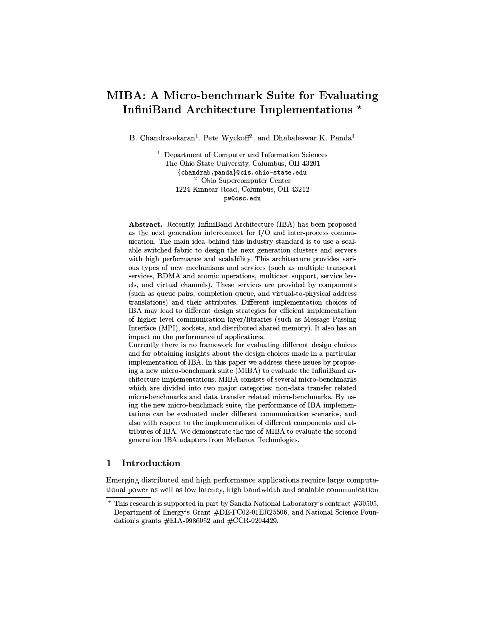# MIBA: A Micro-benchmark Suite for Evaluating InfiniBand Architecture Implementations \*

B. Chandrasekaran<sup>1</sup>, Pete Wyckoff<sup>2</sup>, and Dhabaleswar K. Panda<sup>1</sup>

<sup>1</sup> Department of Computer and Information Sciences The Ohio State University, Columbus, OH 43201 {chandrab, panda}@cis.ohio-state.edu <sup>2</sup> Ohio Supercomputer Center 1224 Kinnear Road, Columbus, OH 43212 pw@osc.edu

Abstract. Recently, InfiniBand Architecture (IBA) has been proposed as the next generation interconnect for I/O and inter-process communication. The main idea behind this industry standard is to use a scalable switched fabric to design the next generation clusters and servers with high performance and scalability. This architecture provides various types of new mechanisms and services (such as multiple transport services, RDMA and atomic operations, multicast support, service levels, and virtual channels). These services are provided by components (such as queue pairs, completion queue, and virtual-to-physical address translations) and their attributes. Different implementation choices of IBA may lead to different design strategies for efficient implementation of higher level communication layer/libraries (such as Message Passing Interface (MPI), sockets, and distributed shared memory). It also has an impact on the performance of applications.

Currently there is no framework for evaluating different design choices and for obtaining insights about the design choices made in a particular implementation of IBA. In this paper we address these issues by proposing a new micro-benchmark suite (MIBA) to evaluate the InfiniBand architecture implementations. MIBA consists of several micro-benchmarks which are divided into two major categories: non-data transfer related micro-benchmarks and data transfer related micro-benchmarks. By using the new micro-benchmark suite, the performance of IBA implementations can be evaluated under different communication scenarios, and also with respect to the implementation of different components and attributes of IBA. We demonstrate the use of MIBA to evaluate the second generation IBA adapters from Mellanox Technologies.

#### Introduction  $\mathbf{1}$

Emerging distributed and high performance applications require large computational power as well as low latency, high bandwidth and scalable communication

 $\star$  This research is supported in part by Sandia National Laboratory's contract #30505, Department of Energy's Grant #DE-FC02-01ER25506, and National Science Foundation's grants  $\#\text{EIA-9986052}$  and  $\#\text{CCR-0204429}$ .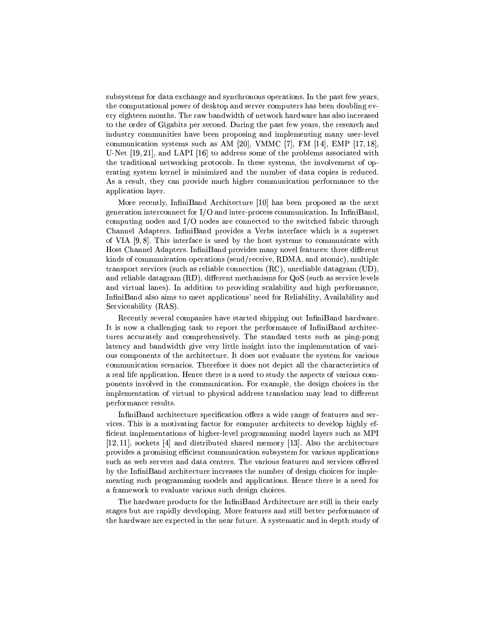subsystems for data exchange and synchronous operations. In the past few years, the computational power of desktop and server computers has been doubling every eighteen months. The raw bandwidth of network hardware has also increased to the order of Gigabits per second. During the past few years, the research and industry communities have been proposing and implementing many user-level communication systems such as AM [20], VMMC [7], FM [14], EMP [17, 18], U-Net  $[19, 21]$ , and LAPI [16] to address some of the problems associated with the traditional networking protocols. In these systems, the involvement of operating system kernel is minimized and the number of data copies is reduced. As a result, they can provide much higher communication performance to the application layer.

More recently, InfiniBand Architecture [10] has been proposed as the next generation interconnect for I/O and inter-process communication. In InfiniBand, computing nodes and I/O nodes are connected to the switched fabric through Channel Adapters. InfiniBand provides a Verbs interface which is a superset of VIA [9,8]. This interface is used by the host systems to communicate with Host Channel Adapters. InfiniBand provides many novel features: three different kinds of communication operations (send/receive, RDMA, and atomic), multiple transport services (such as reliable connection (RC), unreliable datagram (UD), and reliable datagram (RD), different mechanisms for QoS (such as service levels and virtual lanes). In addition to providing scalability and high performance, InfiniBand also aims to meet applications' need for Reliability, Availability and Serviceability (RAS).

Recently several companies have started shipping out InfiniBand hardware. It is now a challenging task to report the performance of InfiniBand architectures accurately and comprehensively. The standard tests such as ping-pong latency and bandwidth give very little insight into the implementation of various components of the architecture. It does not evaluate the system for various communication scenarios. Therefore it does not depict all the characteristics of a real life application. Hence there is a need to study the aspects of various components involved in the communication. For example, the design choices in the implementation of virtual to physical address translation may lead to different performance results.

InfiniBand architecture specification offers a wide range of features and services. This is a motivating factor for computer architects to develop highly efficient implementations of higher-level programming model layers such as MPI  $[12, 11]$ , sockets  $[4]$  and distributed shared memory  $[13]$ . Also the architecture provides a promising efficient communication subsystem for various applications such as web servers and data centers. The various features and services offered by the InfiniBand architecture increases the number of design choices for implementing such programming models and applications. Hence there is a need for a framework to evaluate various such design choices.

The hardware products for the InfiniBand Architecture are still in their early stages but are rapidly developing. More features and still better performance of the hardware are expected in the near future. A systematic and in depth study of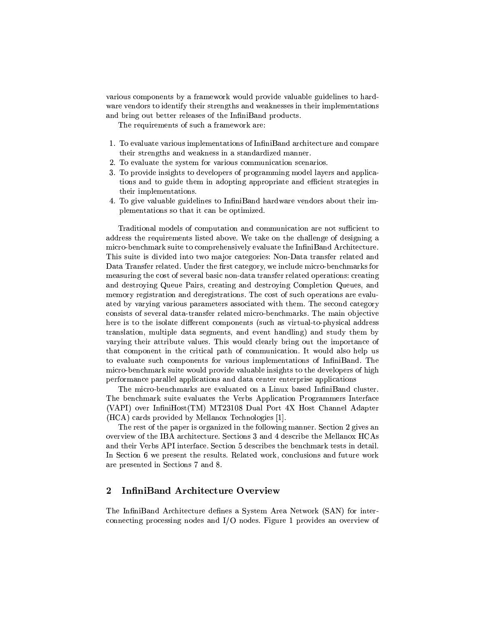various components by a framework would provide valuable guidelines to hardware vendors to identify their strengths and weaknesses in their implementations and bring out better releases of the InfiniBand products.

The requirements of such a framework are:

- 1. To evaluate various implementations of InfiniBand architecture and compare their strengths and weakness in a standardized manner.
- 2. To evaluate the system for various communication scenarios.
- 3. To provide insights to developers of programming model layers and applications and to guide them in adopting appropriate and efficient strategies in their implementations.
- 4. To give valuable guidelines to InfiniBand hardware vendors about their implementations so that it can be optimized.

Traditional models of computation and communication are not sufficient to address the requirements listed above. We take on the challenge of designing a micro-benchmark suite to comprehensively evaluate the InfiniBand Architecture. This suite is divided into two major categories: Non-Data transfer related and Data Transfer related. Under the first category, we include micro-benchmarks for measuring the cost of several basic non-data transfer related operations: creating and destroying Queue Pairs, creating and destroying Completion Queues, and memory registration and deregistrations. The cost of such operations are evaluated by varying various parameters associated with them. The second category consists of several data-transfer related micro-benchmarks. The main objective here is to the isolate different components (such as virtual-to-physical address translation, multiple data segments, and event handling) and study them by varying their attribute values. This would clearly bring out the importance of that component in the critical path of communication. It would also help us to evaluate such components for various implementations of InfiniBand. The micro-benchmark suite would provide valuable insights to the developers of high performance parallel applications and data center enterprise applications

The micro-benchmarks are evaluated on a Linux based InfiniBand cluster. The benchmark suite evaluates the Verbs Application Programmers Interface (VAPI) over InfiniHost(TM) MT23108 Dual Port 4X Host Channel Adapter (HCA) cards provided by Mellanox Technologies [1].

The rest of the paper is organized in the following manner. Section 2 gives an overview of the IBA architecture. Sections 3 and 4 describe the Mellanox HCAs and their Verbs API interface. Section 5 describes the benchmark tests in detail. In Section 6 we present the results. Related work, conclusions and future work are presented in Sections 7 and 8.

#### $\overline{2}$ **InfiniBand Architecture Overview**

The InfiniBand Architecture defines a System Area Network (SAN) for interconnecting processing nodes and  $I/O$  nodes. Figure 1 provides an overview of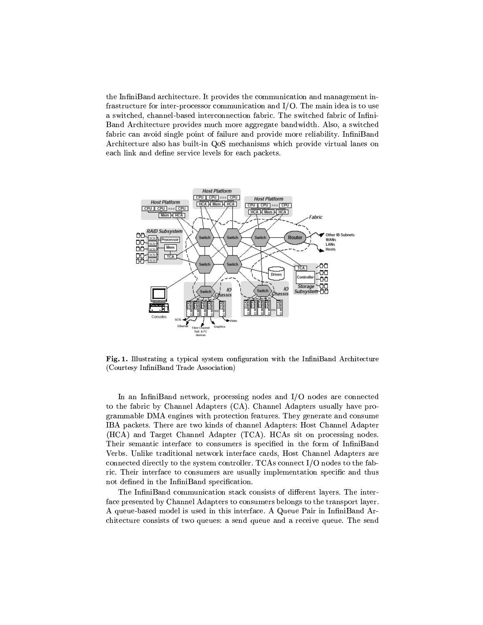the InfiniBand architecture. It provides the communication and management infrastructure for inter-processor communication and  $I/O$ . The main idea is to use a switched, channel-based interconnection fabric. The switched fabric of Infini-Band Architecture provides much more aggregate bandwidth. Also, a switched fabric can avoid single point of failure and provide more reliability. InfiniBand Architecture also has built-in QoS mechanisms which provide virtual lanes on each link and define service levels for each packets.



Fig. 1. Illustrating a typical system configuration with the InfiniBand Architecture (Courtesy InfiniBand Trade Association)

In an InfiniBand network, processing nodes and I/O nodes are connected to the fabric by Channel Adapters (CA). Channel Adapters usually have programmable DMA engines with protection features. They generate and consume IBA packets. There are two kinds of channel Adapters: Host Channel Adapter (HCA) and Target Channel Adapter (TCA). HCAs sit on processing nodes. Their semantic interface to consumers is specified in the form of InfiniBand Verbs. Unlike traditional network interface cards, Host Channel Adapters are connected directly to the system controller. TCAs connect I/O nodes to the fabric. Their interface to consumers are usually implementation specific and thus not defined in the InfiniBand specification.

The InfiniBand communication stack consists of different layers. The interface presented by Channel Adapters to consumers belongs to the transport layer. A queue-based model is used in this interface. A Queue Pair in InfiniBand Architecture consists of two queues: a send queue and a receive queue. The send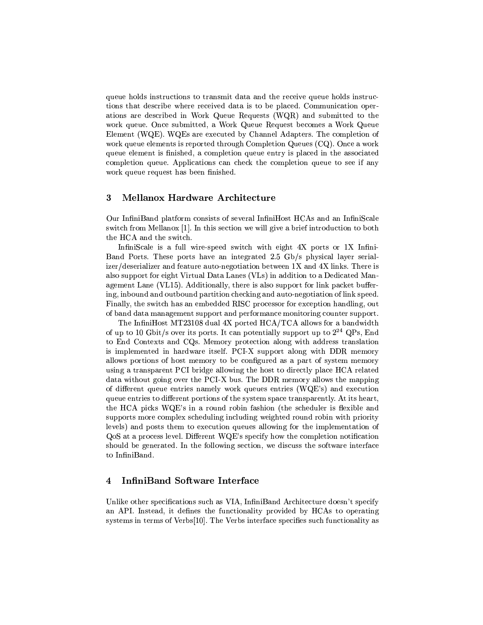queue holds instructions to transmit data and the receive queue holds instructions that describe where received data is to be placed. Communication operations are described in Work Queue Requests (WQR) and submitted to the work queue. Once submitted, a Work Queue Request becomes a Work Queue Element (WQE). WQEs are executed by Channel Adapters. The completion of work queue elements is reported through Completion Queues (CQ). Once a work queue element is finished, a completion queue entry is placed in the associated completion queue. Applications can check the completion queue to see if any work queue request has been finished.

#### 3 **Mellanox Hardware Architecture**

Our InfiniBand platform consists of several InfiniHost HCAs and an InfiniScale switch from Mellanox [1]. In this section we will give a brief introduction to both the HCA and the switch.

InfiniScale is a full wire-speed switch with eight 4X ports or 1X Infini-Band Ports. These ports have an integrated 2.5 Gb/s physical layer serializer/deserializer and feature auto-negotiation between 1X and 4X links. There is also support for eight Virtual Data Lanes (VLs) in addition to a Dedicated Management Lane (VL15). Additionally, there is also support for link packet buffering, inbound and outbound partition checking and auto-negotiation of link speed. Finally, the switch has an embedded RISC processor for exception handling, out of band data management support and performance monitoring counter support.

The Infinitiost MT23108 dual 4X ported HCA/TCA allows for a bandwidth of up to 10 Gbit/s over its ports. It can potentially support up to  $2^{24}$  QPs, End to End Contexts and CQs. Memory protection along with address translation is implemented in hardware itself. PCI-X support along with DDR memory allows portions of host memory to be configured as a part of system memory using a transparent PCI bridge allowing the host to directly place HCA related data without going over the PCI-X bus. The DDR memory allows the mapping of different queue entries namely work queues entries (WQE's) and execution queue entries to different portions of the system space transparently. At its heart, the HCA picks WQE's in a round robin fashion (the scheduler is flexible and supports more complex scheduling including weighted round robin with priority levels) and posts them to execution queues allowing for the implementation of QoS at a process level. Different WQE's specify how the completion notification should be generated. In the following section, we discuss the software interface to InfiniBand.

#### **InfiniBand Software Interface**  $\overline{\mathbf{4}}$

Unlike other specifications such as VIA, InfiniBand Architecture doesn't specify an API. Instead, it defines the functionality provided by HCAs to operating systems in terms of Verbs[10]. The Verbs interface specifies such functionality as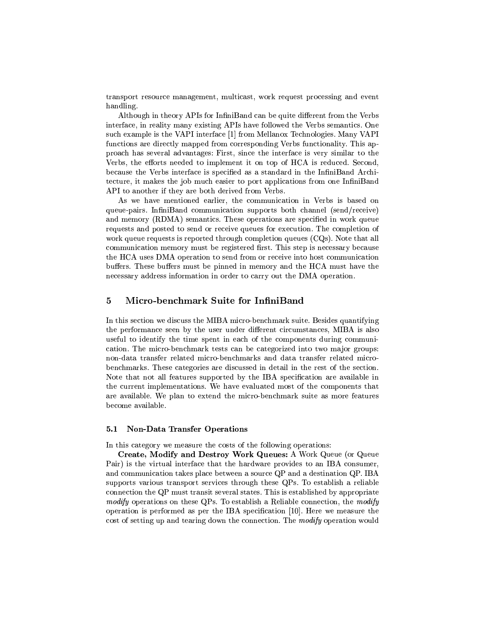transport resource management, multicast, work request processing and event handling.

Although in theory APIs for InfiniBand can be quite different from the Verbs interface, in reality many existing APIs have followed the Verbs semantics. One such example is the VAPI interface [1] from Mellanox Technologies. Many VAPI functions are directly mapped from corresponding Verbs functionality. This approach has several advantages: First, since the interface is very similar to the Verbs, the efforts needed to implement it on top of HCA is reduced. Second, because the Verbs interface is specified as a standard in the InfiniBand Architecture, it makes the job much easier to port applications from one InfiniBand API to another if they are both derived from Verbs.

As we have mentioned earlier, the communication in Verbs is based on queue-pairs. InfiniBand communication supports both channel (send/receive) and memory (RDMA) semantics. These operations are specified in work queue requests and posted to send or receive queues for execution. The completion of work queue requests is reported through completion queues (CQs). Note that all communication memory must be registered first. This step is necessary because the HCA uses DMA operation to send from or receive into host communication buffers. These buffers must be pinned in memory and the HCA must have the necessary address information in order to carry out the DMA operation.

#### $\overline{5}$ Micro-benchmark Suite for InfiniBand

In this section we discuss the MIBA micro-benchmark suite. Besides quantifying the performance seen by the user under different circumstances, MIBA is also useful to identify the time spent in each of the components during communication. The micro-benchmark tests can be categorized into two major groups: non-data transfer related micro-benchmarks and data transfer related microbenchmarks. These categories are discussed in detail in the rest of the section. Note that not all features supported by the IBA specification are available in the current implementations. We have evaluated most of the components that are available. We plan to extend the micro-benchmark suite as more features become available.

### 5.1 Non-Data Transfer Operations

In this category we measure the costs of the following operations:

Create, Modify and Destroy Work Queues: A Work Queue (or Queue Pair) is the virtual interface that the hardware provides to an IBA consumer, and communication takes place between a source QP and a destination QP. IBA supports various transport services through these QPs. To establish a reliable connection the QP must transit several states. This is established by appropriate *modify* operations on these QPs. To establish a Reliable connection, the *modify* operation is performed as per the IBA specification [10]. Here we measure the cost of setting up and tearing down the connection. The *modify* operation would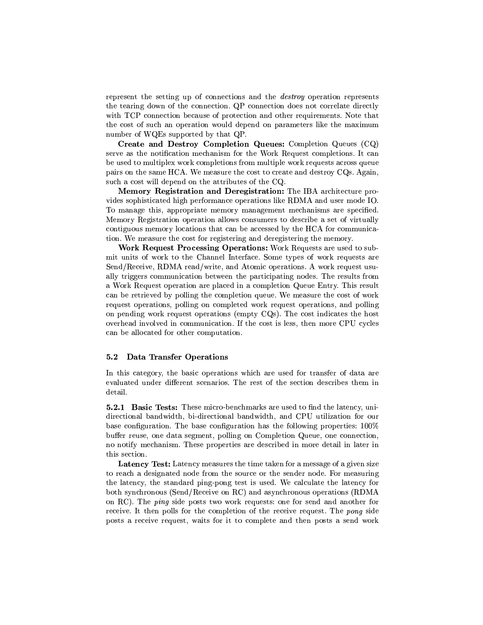represent the setting up of connections and the *destroy* operation represents the tearing down of the connection. QP connection does not correlate directly with TCP connection because of protection and other requirements. Note that the cost of such an operation would depend on parameters like the maximum number of WQEs supported by that QP.

Create and Destroy Completion Queues: Completion Queues (CQ) serve as the notification mechanism for the Work Request completions. It can be used to multiplex work completions from multiple work requests across queue pairs on the same HCA. We measure the cost to create and destroy CQs. Again, such a cost will depend on the attributes of the CQ.

Memory Registration and Deregistration: The IBA architecture provides sophisticated high performance operations like RDMA and user mode IO. To manage this, appropriate memory management mechanisms are specified. Memory Registration operation allows consumers to describe a set of virtually contiguous memory locations that can be accessed by the HCA for communication. We measure the cost for registering and deregistering the memory.

Work Request Processing Operations: Work Requests are used to submit units of work to the Channel Interface. Some types of work requests are Send/Receive, RDMA read/write, and Atomic operations. A work request usually triggers communication between the participating nodes. The results from a Work Request operation are placed in a completion Queue Entry. This result can be retrieved by polling the completion queue. We measure the cost of work request operations, polling on completed work request operations, and polling on pending work request operations (empty CQs). The cost indicates the host overhead involved in communication. If the cost is less, then more CPU cycles can be allocated for other computation.

#### $5.2$ Data Transfer Operations

In this category, the basic operations which are used for transfer of data are evaluated under different scenarios. The rest of the section describes them in detail.

**5.2.1 Basic Tests:** These micro-benchmarks are used to find the latency, unidirectional bandwidth, bi-directional bandwidth, and CPU utilization for our base configuration. The base configuration has the following properties:  $100\%$ buffer reuse, one data segment, polling on Completion Queue, one connection, no notify mechanism. These properties are described in more detail in later in this section.

**Latency Test:** Latency measures the time taken for a message of a given size to reach a designated node from the source or the sender node. For measuring the latency, the standard ping-pong test is used. We calculate the latency for both synchronous (Send/Receive on RC) and asynchronous operations (RDMA on RC). The *ping* side posts two work requests: one for send and another for receive. It then polls for the completion of the receive request. The pong side posts a receive request, waits for it to complete and then posts a send work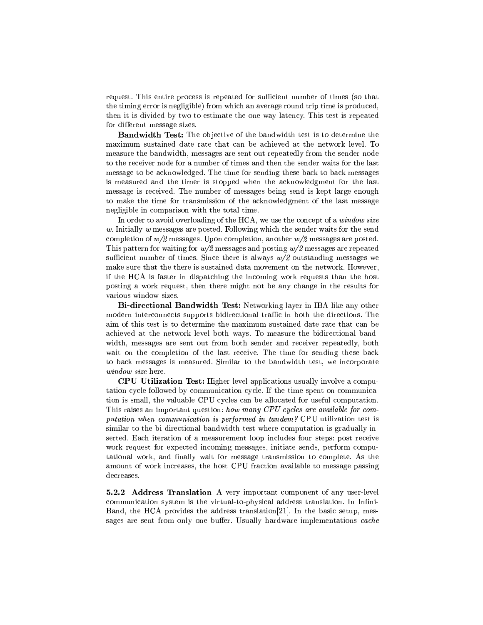request. This entire process is repeated for sufficient number of times (so that the timing error is negligible) from which an average round trip time is produced, then it is divided by two to estimate the one way latency. This test is repeated for different message sizes.

Bandwidth Test: The objective of the bandwidth test is to determine the maximum sustained date rate that can be achieved at the network level. To measure the bandwidth, messages are sent out repeatedly from the sender node to the receiver node for a number of times and then the sender waits for the last message to be acknowledged. The time for sending these back to back messages is measured and the timer is stopped when the acknowledgment for the last message is received. The number of messages being send is kept large enough to make the time for transmission of the acknowledgment of the last message negligible in comparison with the total time.

In order to avoid overloading of the HCA, we use the concept of a window size  $w$ . Initially  $w$  messages are posted. Following which the sender waits for the send completion of  $w/2$  messages. Upon completion, another  $w/2$  messages are posted. This pattern for waiting for  $w/2$  messages and posting  $w/2$  messages are repeated sufficient number of times. Since there is always  $w/2$  outstanding messages we make sure that the there is sustained data movement on the network. However, if the HCA is faster in dispatching the incoming work requests than the host posting a work request, then there might not be any change in the results for various window sizes.

Bi-directional Bandwidth Test: Networking layer in IBA like any other modern interconnects supports bidirectional traffic in both the directions. The aim of this test is to determine the maximum sustained date rate that can be achieved at the network level both ways. To measure the bidirectional bandwidth, messages are sent out from both sender and receiver repeatedly, both wait on the completion of the last receive. The time for sending these back to back messages is measured. Similar to the bandwidth test, we incorporate *window size* here.

CPU Utilization Test: Higher level applications usually involve a computation cycle followed by communication cycle. If the time spent on communication is small, the valuable CPU cycles can be allocated for useful computation. This raises an important question: how many CPU cycles are available for com*putation when communication is performed in tandem?* CPU utilization test is similar to the bi-directional bandwidth test where computation is gradually inserted. Each iteration of a measurement loop includes four steps: post receive work request for expected incoming messages, initiate sends, perform computational work, and finally wait for message transmission to complete. As the amount of work increases, the host CPU fraction available to message passing decreases.

**5.2.2 Address Translation** A very important component of any user-level communication system is the virtual-to-physical address translation. In Infini-Band, the HCA provides the address translation[21]. In the basic setup, messages are sent from only one buffer. Usually hardware implementations cache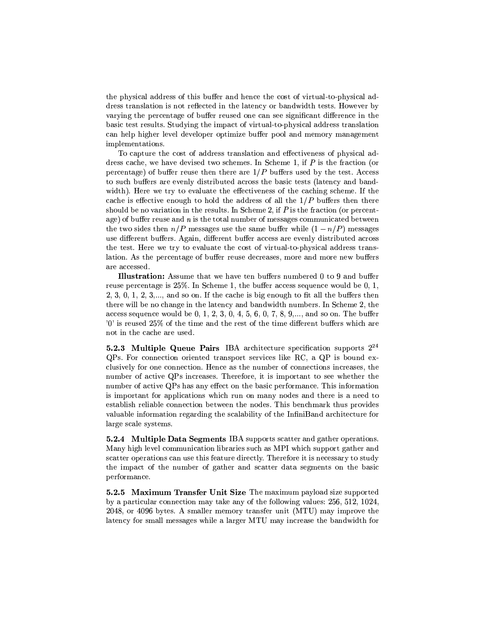the physical address of this buffer and hence the cost of virtual-to-physical address translation is not reflected in the latency or bandwidth tests. However by varying the percentage of buffer reused one can see significant difference in the basic test results. Studying the impact of virtual-to-physical address translation can help higher level developer optimize buffer pool and memory management implementations.

To capture the cost of address translation and effectiveness of physical address cache, we have devised two schemes. In Scheme 1, if  $P$  is the fraction (or percentage) of buffer reuse then there are  $1/P$  buffers used by the test. Access to such buffers are evenly distributed across the basic tests (latency and bandwidth). Here we try to evaluate the effectiveness of the caching scheme. If the cache is effective enough to hold the address of all the  $1/P$  buffers then there should be no variation in the results. In Scheme 2, if  $P$  is the fraction (or percentage) of buffer reuse and  $n$  is the total number of messages communicated between the two sides then  $n/P$  messages use the same buffer while  $(1 - n/P)$  messages use different buffers. Again, different buffer access are evenly distributed across the test. Here we try to evaluate the cost of virtual-to-physical address translation. As the percentage of buffer reuse decreases, more and more new buffers are accessed.

Illustration: Assume that we have ten buffers numbered 0 to 9 and buffer reuse percentage is  $25\%$ . In Scheme 1, the buffer access sequence would be 0, 1,  $2, 3, 0, 1, 2, 3, \ldots$ , and so on. If the cache is big enough to fit all the buffers then there will be no change in the latency and bandwidth numbers. In Scheme 2, the access sequence would be 0, 1, 2, 3, 0, 4, 5, 6, 0, 7, 8, 9,..., and so on. The buffer '0' is reused 25% of the time and the rest of the time different buffers which are not in the cache are used.

**5.2.3** Multiple Queue Pairs IBA architecture specification supports  $2^{24}$  $QPs$ . For connection oriented transport services like RC, a  $QP$  is bound exclusively for one connection. Hence as the number of connections increases, the number of active QPs increases. Therefore, it is important to see whether the number of active QPs has any effect on the basic performance. This information is important for applications which run on many nodes and there is a need to establish reliable connection between the nodes. This benchmark thus provides valuable information regarding the scalability of the InfiniBand architecture for large scale systems.

**5.2.4** Multiple Data Segments IBA supports scatter and gather operations. Many high level communication libraries such as MPI which support gather and scatter operations can use this feature directly. Therefore it is necessary to study the impact of the number of gather and scatter data segments on the basic performance.

**5.2.5 Maximum Transfer Unit Size** The maximum payload size supported by a particular connection may take any of the following values:  $256, 512, 1024$ , 2048, or 4096 bytes. A smaller memory transfer unit (MTU) may improve the latency for small messages while a larger MTU may increase the bandwidth for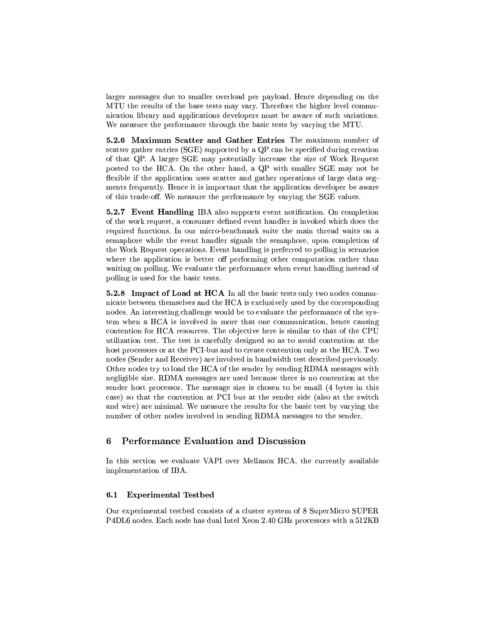larger messages due to smaller overload per payload. Hence depending on the MTU the results of the base tests may vary. Therefore the higher level communication library and applications developers must be aware of such variations. We measure the performance through the basic tests by varying the MTU.

5.2.6 Maximum Scatter and Gather Entries The maximum number of scatter gather entries (SGE) supported by a QP can be specified during creation of that QP. A larger SGE may potentially increase the size of Work Request posted to the HCA. On the other hand, a QP with smaller SGE may not be flexible if the application uses scatter and gather operations of large data segments frequently. Hence it is important that the application developer be aware of this trade-off. We measure the performance by varying the SGE values.

5.2.7 Event Handling IBA also supports event notification. On completion of the work request, a consumer defined event handler is invoked which does the required functions. In our micro-benchmark suite the main thread waits on a semaphore while the event handler signals the semaphore, upon completion of the Work Request operations. Event handling is preferred to polling in scenarios where the application is better off performing other computation rather than waiting on polling. We evaluate the performance when event handling instead of polling is used for the basic tests.

**5.2.8** Impact of Load at HCA In all the basic tests only two nodes communicate between themselves and the HCA is exclusively used by the corresponding nodes. An interesting challenge would be to evaluate the performance of the system when a HCA is involved in more that one communication, hence causing contention for HCA resources. The objective here is similar to that of the CPU utilization test. The test is carefully designed so as to avoid contention at the host processors or at the PCI-bus and to create contention only at the HCA. Two nodes (Sender and Receiver) are involved in bandwidth test described previously. Other nodes try to load the HCA of the sender by sending RDMA messages with negligible size. RDMA messages are used because there is no contention at the sender host processor. The message size is chosen to be small (4 bytes in this case) so that the contention at PCI bus at the sender side (also at the switch and wire) are minimal. We measure the results for the basic test by varying the number of other nodes involved in sending RDMA messages to the sender.

#### **Performance Evaluation and Discussion** 6

In this section we evaluate VAPI over Mellanox HCA, the currently available implementation of IBA.

#### **Experimental Testbed**  $6.1$

Our experimental testbed consists of a cluster system of 8 SuperMicro SUPER P4DL6 nodes. Each node has dual Intel Xeon 2.40 GHz processors with a 512KB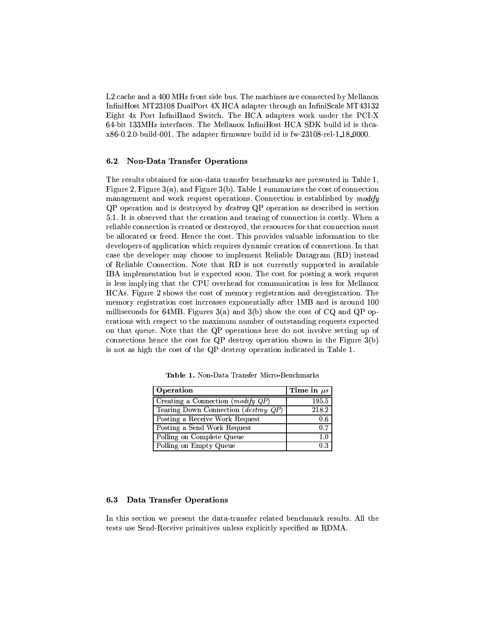L2 cache and a 400 MHz front side bus. The machines are connected by Mellanox InfiniHost MT23108 DualPort 4X HCA adapter through an InfiniScale MT43132 Eight 4x Port InfiniBand Switch. The HCA adapters work under the PCI-X 64-bit 133MHz interfaces. The Mellanox InfiniHost HCA SDK build id is thcax86-0.2.0-build-001. The adapter firmware build id is fw-23108-rel-1.18.0000.

#### $6.2$ **Non-Data Transfer Operations**

The results obtained for non-data transfer benchmarks are presented in Table 1, Figure 2, Figure 3(a), and Figure 3(b). Table 1 summarizes the cost of connection management and work request operations. Connection is established by modify  $QP$  operation and is destroyed by *destroy*  $QP$  operation as described in section 5.1. It is observed that the creation and tearing of connection is costly. When a reliable connection is created or destroved, the resources for that connection must be allocated or freed. Hence the cost. This provides valuable information to the developers of application which requires dynamic creation of connections. In that case the developer may choose to implement Reliable Datagram (RD) instead of Reliable Connection. Note that RD is not currently supported in available IBA implementation but is expected soon. The cost for posting a work request is less implying that the CPU overhead for communication is less for Mellanox HCAs. Figure 2 shows the cost of memory registration and deregistration. The memory registration cost increases exponentially after 1MB and is around 100 milliseconds for 64MB. Figures  $3(a)$  and  $3(b)$  show the cost of CQ and QP operations with respect to the maximum number of outstanding requests expected on that queue. Note that the QP operations here do not involve setting up of connections hence the cost for QP destroy operation shown in the Figure  $3(b)$ is not as high the cost of the QP destroy operation indicated in Table 1.

| <b>Operation</b>                           | Time in $\mu s$ |
|--------------------------------------------|-----------------|
| Creating a Connection ( <i>modify QP</i> ) | 195.5           |
| Tearing Down Connection (destroy $QP$ )    | 218.2           |
| Posting a Receive Work Request             | 0.6             |
| Posting a Send Work Request                | 0.7             |
| Polling on Complete Queue                  | 1.0             |
| Polling on Empty Queue                     | በ 3             |

Table 1. Non-Data Transfer Micro-Benchmarks

#### $6.3$ **Data Transfer Operations**

In this section we present the data-transfer related benchmark results. All the tests use Send-Receive primitives unless explicitly specified as RDMA.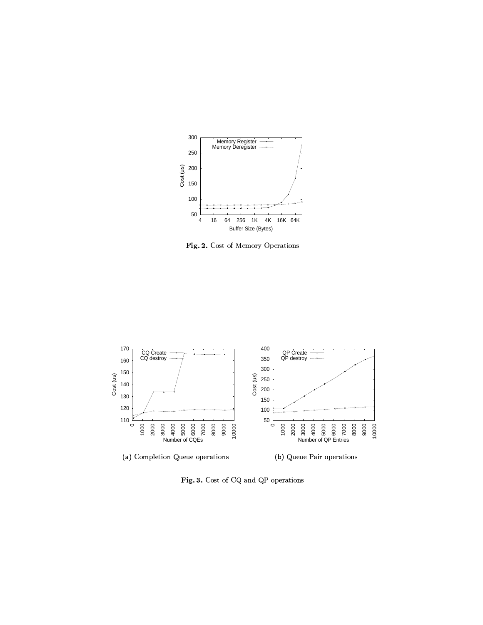

 $\alpha$   $\alpha$   $\alpha$   $\alpha$   $\alpha$ 



 $\blacksquare$  .  $\blacksquare$  .  $\blacksquare$  .  $\blacksquare$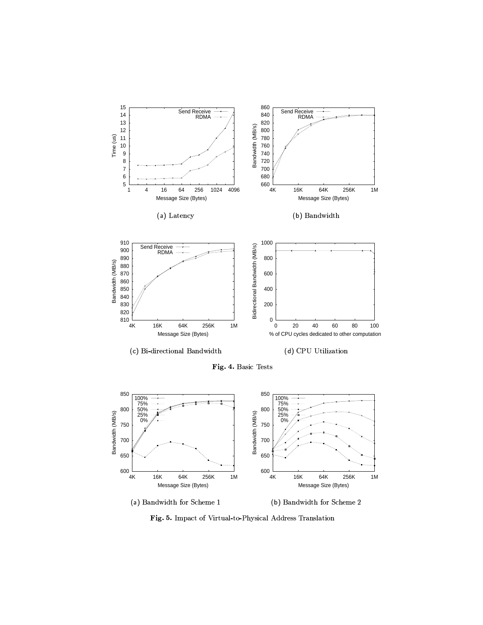



Fig. 5. Impact of Virtual-to-Physical Address Translation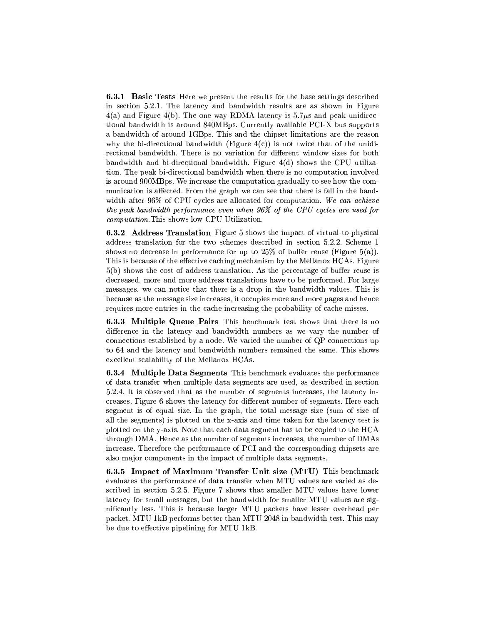**6.3.1 Basic Tests** Here we present the results for the base settings described in section 5.2.1. The latency and bandwidth results are as shown in Figure  $4(a)$  and Figure 4(b). The one-way RDMA latency is 5.7 $\mu$ s and peak unidirectional bandwidth is around 840MBps. Currently available PCI-X bus supports a bandwidth of around 1GBps. This and the chipset limitations are the reason why the bi-directional bandwidth (Figure  $4(c)$ ) is not twice that of the unidirectional bandwidth. There is no variation for different window sizes for both bandwidth and bi-directional bandwidth. Figure  $4(d)$  shows the CPU utilization. The peak bi-directional bandwidth when there is no computation involved is around 900MBps. We increase the computation gradually to see how the communication is affected. From the graph we can see that there is fall in the bandwidth after 96% of CPU cycles are allocated for computation. We can achieve the peak bandwidth performance even when 96% of the CPU cycles are used for *computation*. This shows low CPU Utilization.

**6.3.2** Address Translation Figure 5 shows the impact of virtual-to-physical address translation for the two schemes described in section 5.2.2. Scheme 1 shows no decrease in performance for up to  $25\%$  of buffer reuse (Figure 5(a)). This is because of the effective caching mechanism by the Mellanox HCAs. Figure 5(b) shows the cost of address translation. As the percentage of buffer reuse is decreased, more and more address translations have to be performed. For large messages, we can notice that there is a drop in the bandwidth values. This is because as the message size increases, it occupies more and more pages and hence requires more entries in the cache increasing the probability of cache misses.

**6.3.3** Multiple Queue Pairs This benchmark test shows that there is no difference in the latency and bandwidth numbers as we vary the number of connections established by a node. We varied the number of QP connections up to 64 and the latency and bandwidth numbers remained the same. This shows excellent scalability of the Mellanox HCAs.

**6.3.4 Multiple Data Segments** This benchmark evaluates the performance of data transfer when multiple data segments are used, as described in section 5.2.4. It is observed that as the number of segments increases, the latency increases. Figure 6 shows the latency for different number of segments. Here each segment is of equal size. In the graph, the total message size (sum of size of all the segments) is plotted on the x-axis and time taken for the latency test is plotted on the y-axis. Note that each data segment has to be copied to the HCA through DMA. Hence as the number of segments increases, the number of DMAs increase. Therefore the performance of PCI and the corresponding chipsets are also major components in the impact of multiple data segments.

**6.3.5** Impact of Maximum Transfer Unit size (MTU) This benchmark evaluates the performance of data transfer when MTU values are varied as described in section 5.2.5. Figure 7 shows that smaller MTU values have lower latency for small messages, but the bandwidth for smaller MTU values are significantly less. This is because larger MTU packets have lesser overhead per packet. MTU 1kB performs better than MTU 2048 in bandwidth test. This may be due to effective pipelining for MTU 1kB.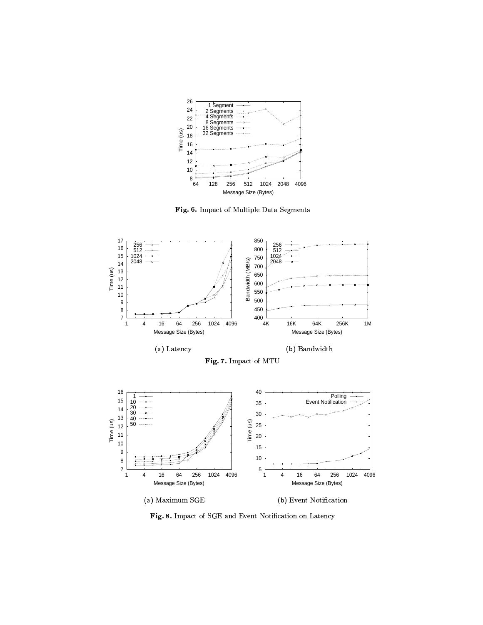

Fig. 6. Impact of Multiple Data Segments



Fig. 8. Impact of SGE and Event Notification on Latency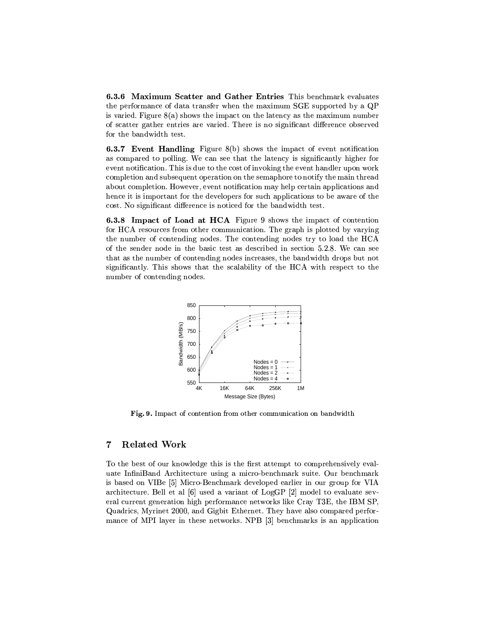6.3.6 Maximum Scatter and Gather Entries This benchmark evaluates the performance of data transfer when the maximum SGE supported by a QP is varied. Figure  $8(a)$  shows the impact on the latency as the maximum number of scatter gather entries are varied. There is no significant difference observed for the bandwidth test.

6.3.7 Event Handling Figure 8(b) shows the impact of event notification as compared to polling. We can see that the latency is significantly higher for event notification. This is due to the cost of invoking the event handler upon work completion and subsequent operation on the semaphore to notify the main thread about completion. However, event notification may help certain applications and hence it is important for the developers for such applications to be aware of the cost. No significant difference is noticed for the bandwidth test.

6.3.8 Impact of Load at HCA Figure 9 shows the impact of contention for HCA resources from other communication. The graph is plotted by varying the number of contending nodes. The contending nodes try to load the HCA of the sender node in the basic test as described in section 5.2.8. We can see that as the number of contending nodes increases, the bandwidth drops but not significantly. This shows that the scalability of the HCA with respect to the number of contending nodes.



Fig. 9. Impact of contention from other communication on bandwidth

#### $\overline{7}$ **Related Work**

To the best of our knowledge this is the first attempt to comprehensively evaluate InfiniBand Architecture using a micro-benchmark suite. Our benchmark is based on VIBe [5] Micro-Benchmark developed earlier in our group for VIA architecture. Bell et al [6] used a variant of LogGP [2] model to evaluate several current generation high performance networks like Cray T3E, the IBM SP. Quadrics, Myrinet 2000, and Gigbit Ethernet. They have also compared performance of MPI layer in these networks. NPB [3] benchmarks is an application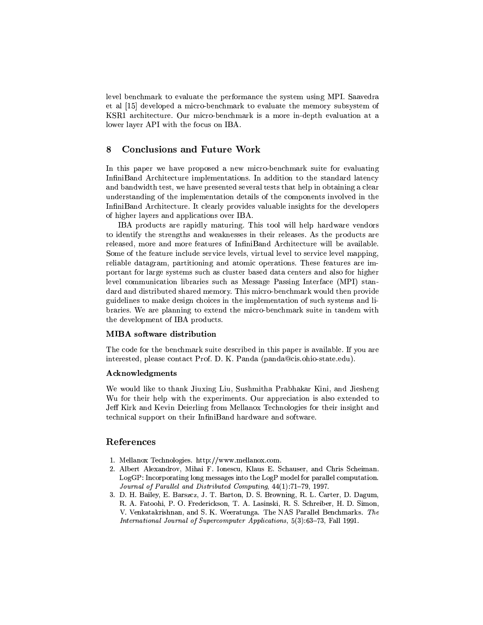level benchmark to evaluate the performance the system using MPI. Saavedra et al [15] developed a micro-benchmark to evaluate the memory subsystem of KSR1 architecture. Our micro-benchmark is a more in-depth evaluation at a lower layer API with the focus on IBA.

#### **Conclusions and Future Work** 8

In this paper we have proposed a new micro-benchmark suite for evaluating InfiniBand Architecture implementations. In addition to the standard latency and bandwidth test, we have presented several tests that help in obtaining a clear understanding of the implementation details of the components involved in the InfiniBand Architecture. It clearly provides valuable insights for the developers of higher layers and applications over IBA.

IBA products are rapidly maturing. This tool will help hardware vendors to identify the strengths and weaknesses in their releases. As the products are released, more and more features of InfiniBand Architecture will be available. Some of the feature include service levels, virtual level to service level mapping, reliable datagram, partitioning and atomic operations. These features are important for large systems such as cluster based data centers and also for higher level communication libraries such as Message Passing Interface (MPI) standard and distributed shared memory. This micro-benchmark would then provide guidelines to make design choices in the implementation of such systems and libraries. We are planning to extend the micro-benchmark suite in tandem with the development of IBA products.

### MIBA software distribution

The code for the benchmark suite described in this paper is available. If you are interested, please contact Prof. D. K. Panda (panda@cis.ohio-state.edu).

### Acknowledgments

We would like to thank Jiuxing Liu, Sushmitha Prabhakar Kini, and Jiesheng Wu for their help with the experiments. Our appreciation is also extended to Jeff Kirk and Kevin Deierling from Mellanox Technologies for their insight and technical support on their InfiniBand hardware and software.

## References

- 1. Mellanox Technologies. http://www.mellanox.com.
- 2. Albert Alexandrov, Mihai F. Ionescu, Klaus E. Schauser, and Chris Scheiman. LogGP: Incorporating long messages into the LogP model for parallel computation. Journal of Parallel and Distributed Computing, 44(1):71-79, 1997.
- 3. D. H. Bailey, E. Barszcz, J. T. Barton, D. S. Browning, R. L. Carter, D. Dagum, R. A. Fatoohi, P. O. Frederickson, T. A. Lasinski, R. S. Schreiber, H. D. Simon, V. Venkatakrishnan, and S. K. Weeratunga. The NAS Parallel Benchmarks. The International Journal of Supercomputer Applications, 5(3):63-73, Fall 1991.